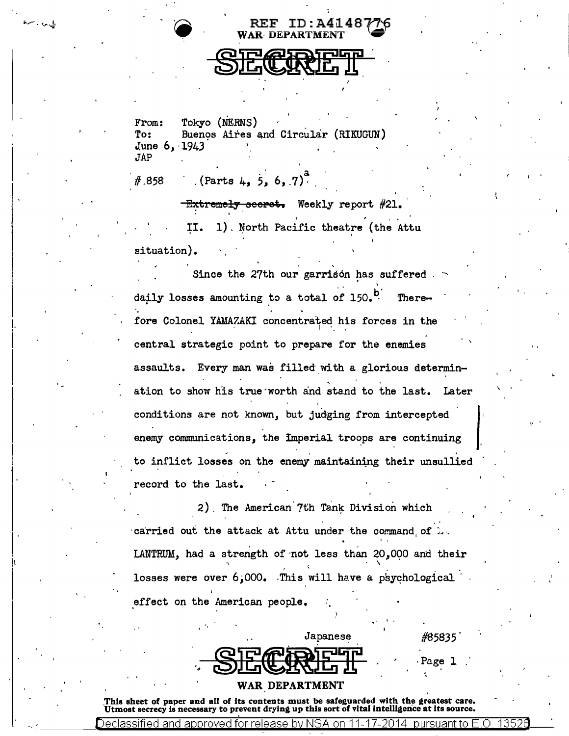I. i



**WAR DEPARTMENT** 

 $REF$  ID: A4148

From: Tokyo (NERNS) To: Buenos Aires and Circular (RIKUGUN) June 6, 1943<br>JAP

#.858

*<sup>a</sup>*. (Parts 4, *5, 6,* .7)·

E<del>xtremely seerst.</del> Weekly report #21. II. 1). North Pacific theatre (the Attu situation).

Since the 27th our garrison has suffered I daily losses amounting to a total of  $150.$ <sup>b</sup>. Therefore Colonel YAMAZAKI concentrated his forces in the central strategic point to prepare for the enemies assaults. Every man was filled with a glorious determination to show his true'worth and stand to the last. Later conditions are not known, but judging from intercepted enemy communications, the Imperial troops are continuing to inflict losses on the enemy maintaining their unsullied record to the last.

2). The American.7th Tank Division which carried out the attack at Attu under the command of  $\ldots$ I ' LANTRUM, haq a strength of ·not less than *20,0QO* and their  $\mathbf{v}$  and the contract of the contract of the contract of the contract of the contract of the contract of the contract of the contract of the contract of the contract of the contract of the contract of the contract of losses were over 6;000. This will have a psychological effect on the American people.

 $\frac{1}{2}$   $\frac{1}{2}$   $\frac{1}{2}$   $\frac{1}{2}$   $\frac{1}{2}$   $\frac{1}{2}$   $\frac{1}{2}$   $\frac{1}{2}$   $\frac{1}{2}$   $\frac{1}{2}$   $\frac{1}{2}$   $\frac{1}{2}$   $\frac{1}{2}$   $\frac{1}{2}$   $\frac{1}{2}$   $\frac{1}{2}$   $\frac{1}{2}$   $\frac{1}{2}$   $\frac{1}{2}$   $\frac{1}{2}$   $\frac{1}{2}$   $\frac{1}{2}$ 

| <b>QTPARATHP</b><br><u>OILWAYLI</u> | Page |  |
|-------------------------------------|------|--|

#85835

 $\mathcal{L}$  '  $\mathcal{L}$ 

!• •

*I'* 

WAR DEPARTMENT

This sheet of paper and all of its contents must be safeguarded with the greatest care.<br>Utmost secrecy is necessary to prevent drying up this sort of vital intelligence at its source.

Declassified and approved for release by NSA on 11-17-2014 -pursuant to E O  $\,$  1352 $\,$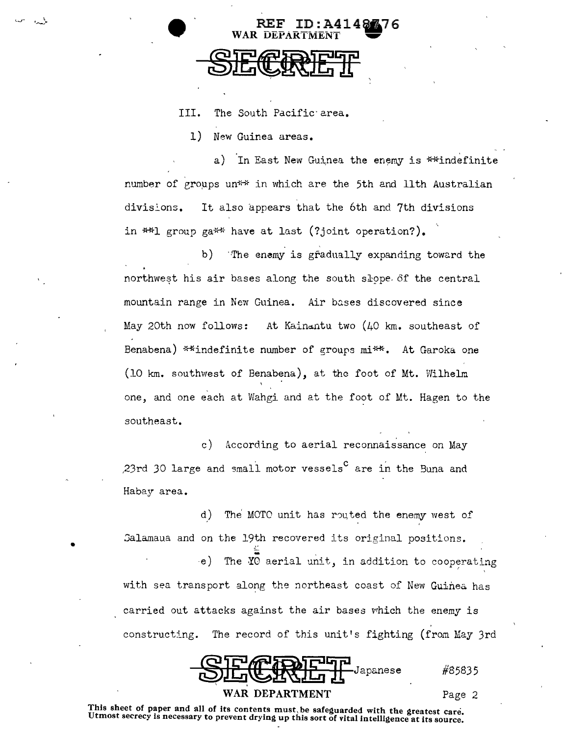III. The South Pacific·area.

WAR DEPARTM

1) New Guinea areas.

l ·-~ ..

•

a) In East New Guinea the enemy is \*\*indefinite number of groups un<sup>\*\*</sup> in which are the 5th and 11th Australian divisions. It also appears that the 6th and 7th divisions in  $**l$  group ga\*\* have at last (?joint operation?).

REF ID:A414.76

b) The enemy is gradually expanding toward the northwest his air bases along the south slope. of the central mountain range in New Guinea. Air bases discovered since May 20th now follows: At Kain~ntu two (40 km. southeast of Benabena) \*\*indefinite number of groups mi\*\*. At Garoka one (10 km. southwest of Benabena), at the foot of Mt. Wilhelm one, and one each at Wahgi and at the foot of Mt. Hagen to the southeast.

c) According to aerial reconnaissance on May ,23rd 30 large and small motor vessels<sup>c</sup> are in the Buna and Habay area.

d) The MOTO unit has routed the enemy west of Salamaua and on the 19th recovered its original positions.  $-e$ ) The YO aerial unit, in addition to cooperating with sea transport along the northeast coast of New Guinea has carried out attacks against the air bases which the enemy is constructing. The record of this unit's fighting (from May 3rd

Japanese WAR DEPARTMENT Page 2

#85835

This sheet of paper and all of its contents must, be safeguarded with the greatest care.<br>Utmost secrecy is necessary to prevent drying up this sort of vital intelligence at its source.